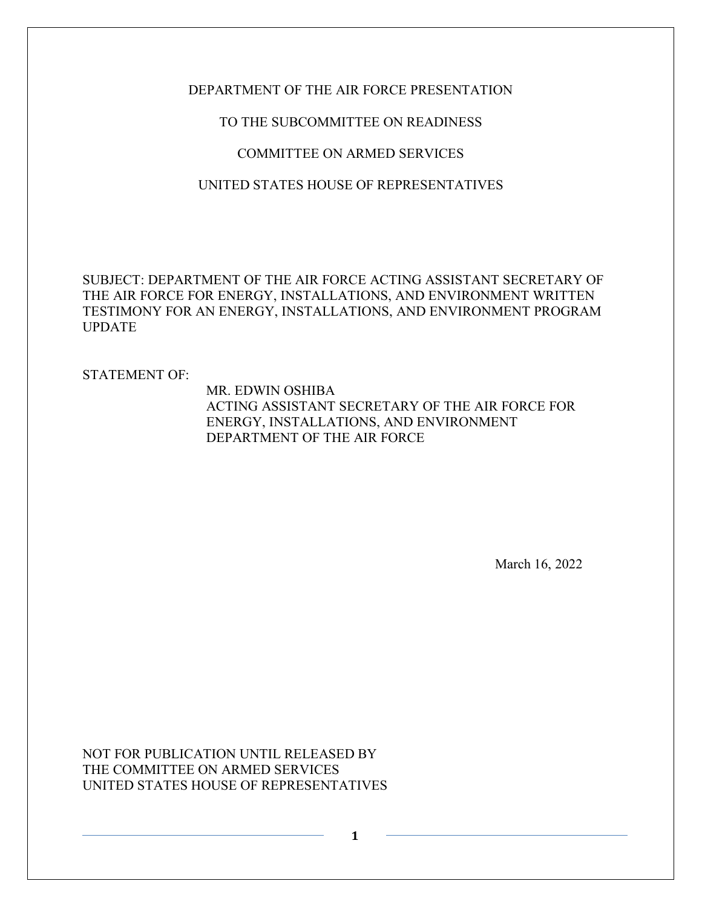## DEPARTMENT OF THE AIR FORCE PRESENTATION

# TO THE SUBCOMMITTEE ON READINESS

# COMMITTEE ON ARMED SERVICES

# UNITED STATES HOUSE OF REPRESENTATIVES

SUBJECT: DEPARTMENT OF THE AIR FORCE ACTING ASSISTANT SECRETARY OF THE AIR FORCE FOR ENERGY, INSTALLATIONS, AND ENVIRONMENT WRITTEN TESTIMONY FOR AN ENERGY, INSTALLATIONS, AND ENVIRONMENT PROGRAM UPDATE

**1**

STATEMENT OF:

MR. EDWIN OSHIBA ACTING ASSISTANT SECRETARY OF THE AIR FORCE FOR ENERGY, INSTALLATIONS, AND ENVIRONMENT DEPARTMENT OF THE AIR FORCE

March 16, 2022

NOT FOR PUBLICATION UNTIL RELEASED BY THE COMMITTEE ON ARMED SERVICES UNITED STATES HOUSE OF REPRESENTATIVES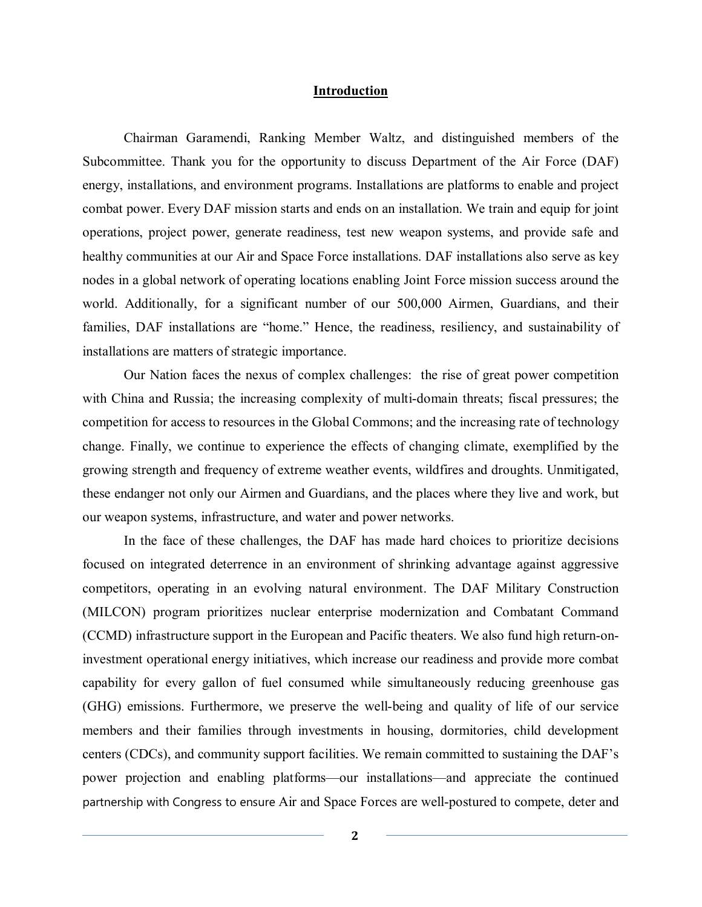### **Introduction**

Chairman Garamendi, Ranking Member Waltz, and distinguished members of the Subcommittee. Thank you for the opportunity to discuss Department of the Air Force (DAF) energy, installations, and environment programs. Installations are platforms to enable and project combat power. Every DAF mission starts and ends on an installation. We train and equip for joint operations, project power, generate readiness, test new weapon systems, and provide safe and healthy communities at our Air and Space Force installations. DAF installations also serve as key nodes in a global network of operating locations enabling Joint Force mission success around the world. Additionally, for a significant number of our 500,000 Airmen, Guardians, and their families, DAF installations are "home." Hence, the readiness, resiliency, and sustainability of installations are matters of strategic importance.

Our Nation faces the nexus of complex challenges: the rise of great power competition with China and Russia; the increasing complexity of multi-domain threats; fiscal pressures; the competition for access to resources in the Global Commons; and the increasing rate of technology change. Finally, we continue to experience the effects of changing climate, exemplified by the growing strength and frequency of extreme weather events, wildfires and droughts. Unmitigated, these endanger not only our Airmen and Guardians, and the places where they live and work, but our weapon systems, infrastructure, and water and power networks.

In the face of these challenges, the DAF has made hard choices to prioritize decisions focused on integrated deterrence in an environment of shrinking advantage against aggressive competitors, operating in an evolving natural environment. The DAF Military Construction (MILCON) program prioritizes nuclear enterprise modernization and Combatant Command (CCMD) infrastructure support in the European and Pacific theaters. We also fund high return-oninvestment operational energy initiatives, which increase our readiness and provide more combat capability for every gallon of fuel consumed while simultaneously reducing greenhouse gas (GHG) emissions. Furthermore, we preserve the well-being and quality of life of our service members and their families through investments in housing, dormitories, child development centers (CDCs), and community support facilities. We remain committed to sustaining the DAF's power projection and enabling platforms—our installations—and appreciate the continued partnership with Congress to ensure Air and Space Forces are well-postured to compete, deter and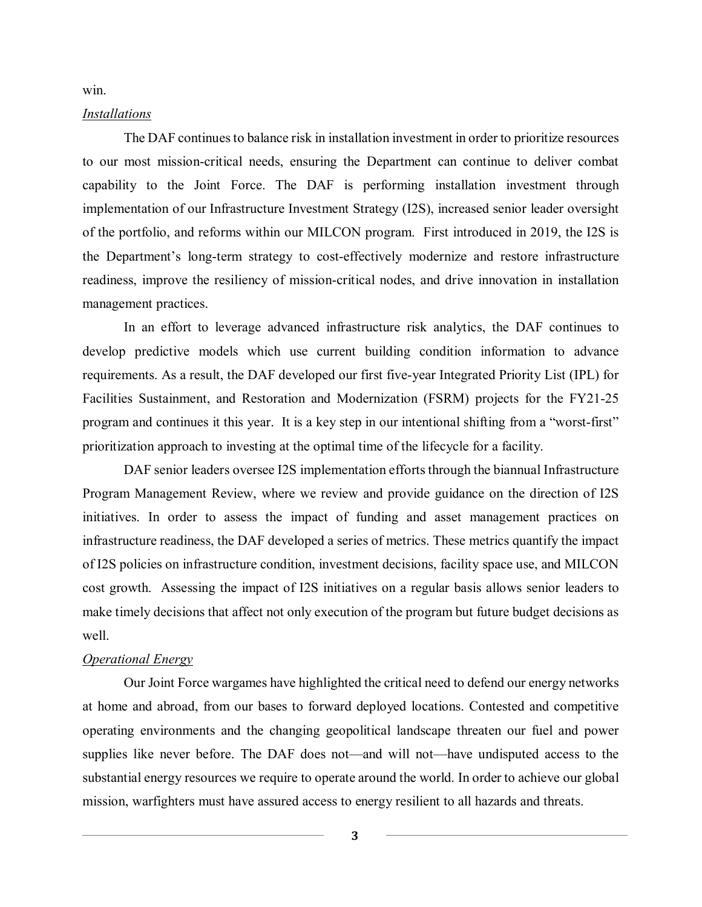win.

#### *Installations*

The DAF continues to balance risk in installation investment in order to prioritize resources to our most mission-critical needs, ensuring the Department can continue to deliver combat capability to the Joint Force. The DAF is performing installation investment through implementation of our Infrastructure Investment Strategy (I2S), increased senior leader oversight of the portfolio, and reforms within our MILCON program. First introduced in 2019, the I2S is the Department's long-term strategy to cost-effectively modernize and restore infrastructure readiness, improve the resiliency of mission-critical nodes, and drive innovation in installation management practices.

In an effort to leverage advanced infrastructure risk analytics, the DAF continues to develop predictive models which use current building condition information to advance requirements. As a result, the DAF developed our first five-year Integrated Priority List (IPL) for Facilities Sustainment, and Restoration and Modernization (FSRM) projects for the FY21-25 program and continues it this year. It is a key step in our intentional shifting from a "worst-first" prioritization approach to investing at the optimal time of the lifecycle for a facility.

DAF senior leaders oversee I2S implementation efforts through the biannual Infrastructure Program Management Review, where we review and provide guidance on the direction of I2S initiatives. In order to assess the impact of funding and asset management practices on infrastructure readiness, the DAF developed a series of metrics. These metrics quantify the impact of I2S policies on infrastructure condition, investment decisions, facility space use, and MILCON cost growth. Assessing the impact of I2S initiatives on a regular basis allows senior leaders to make timely decisions that affect not only execution of the program but future budget decisions as well.

#### *Operational Energy*

Our Joint Force wargames have highlighted the critical need to defend our energy networks at home and abroad, from our bases to forward deployed locations. Contested and competitive operating environments and the changing geopolitical landscape threaten our fuel and power supplies like never before. The DAF does not—and will not—have undisputed access to the substantial energy resources we require to operate around the world. In order to achieve our global mission, warfighters must have assured access to energy resilient to all hazards and threats.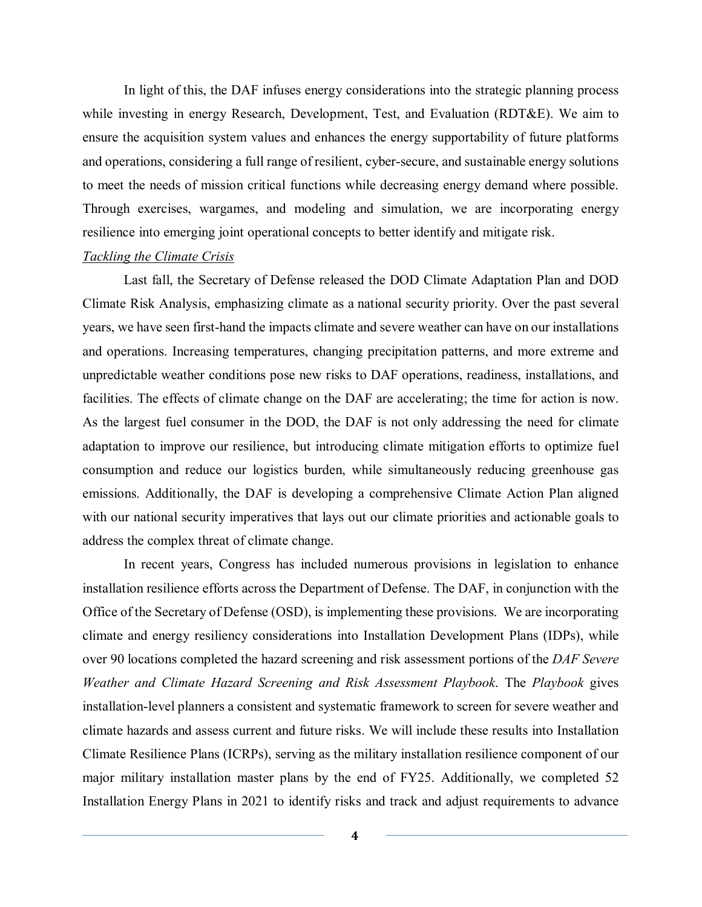In light of this, the DAF infuses energy considerations into the strategic planning process while investing in energy Research, Development, Test, and Evaluation (RDT&E). We aim to ensure the acquisition system values and enhances the energy supportability of future platforms and operations, considering a full range of resilient, cyber-secure, and sustainable energy solutions to meet the needs of mission critical functions while decreasing energy demand where possible. Through exercises, wargames, and modeling and simulation, we are incorporating energy resilience into emerging joint operational concepts to better identify and mitigate risk.

#### *Tackling the Climate Crisis*

Last fall, the Secretary of Defense released the DOD Climate Adaptation Plan and DOD Climate Risk Analysis, emphasizing climate as a national security priority. Over the past several years, we have seen first-hand the impacts climate and severe weather can have on our installations and operations. Increasing temperatures, changing precipitation patterns, and more extreme and unpredictable weather conditions pose new risks to DAF operations, readiness, installations, and facilities. The effects of climate change on the DAF are accelerating; the time for action is now. As the largest fuel consumer in the DOD, the DAF is not only addressing the need for climate adaptation to improve our resilience, but introducing climate mitigation efforts to optimize fuel consumption and reduce our logistics burden, while simultaneously reducing greenhouse gas emissions. Additionally, the DAF is developing a comprehensive Climate Action Plan aligned with our national security imperatives that lays out our climate priorities and actionable goals to address the complex threat of climate change.

In recent years, Congress has included numerous provisions in legislation to enhance installation resilience efforts across the Department of Defense. The DAF, in conjunction with the Office of the Secretary of Defense (OSD), is implementing these provisions. We are incorporating climate and energy resiliency considerations into Installation Development Plans (IDPs), while over 90 locations completed the hazard screening and risk assessment portions of the *DAF Severe Weather and Climate Hazard Screening and Risk Assessment Playbook*. The *Playbook* gives installation-level planners a consistent and systematic framework to screen for severe weather and climate hazards and assess current and future risks. We will include these results into Installation Climate Resilience Plans (ICRPs), serving as the military installation resilience component of our major military installation master plans by the end of FY25. Additionally, we completed 52 Installation Energy Plans in 2021 to identify risks and track and adjust requirements to advance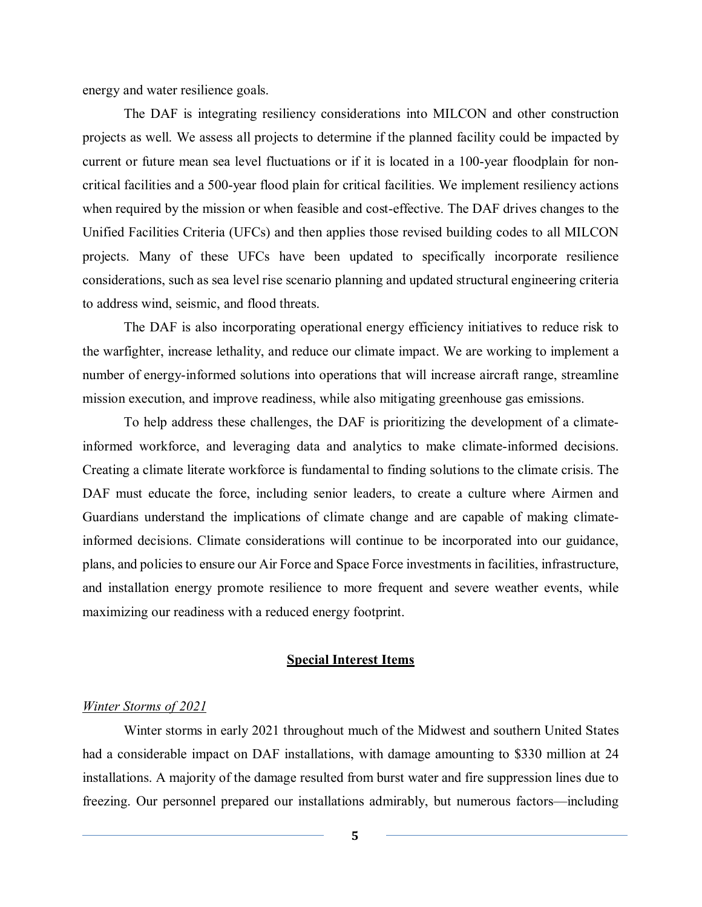energy and water resilience goals.

The DAF is integrating resiliency considerations into MILCON and other construction projects as well. We assess all projects to determine if the planned facility could be impacted by current or future mean sea level fluctuations or if it is located in a 100-year floodplain for noncritical facilities and a 500-year flood plain for critical facilities. We implement resiliency actions when required by the mission or when feasible and cost-effective. The DAF drives changes to the Unified Facilities Criteria (UFCs) and then applies those revised building codes to all MILCON projects. Many of these UFCs have been updated to specifically incorporate resilience considerations, such as sea level rise scenario planning and updated structural engineering criteria to address wind, seismic, and flood threats.

The DAF is also incorporating operational energy efficiency initiatives to reduce risk to the warfighter, increase lethality, and reduce our climate impact. We are working to implement a number of energy-informed solutions into operations that will increase aircraft range, streamline mission execution, and improve readiness, while also mitigating greenhouse gas emissions.

To help address these challenges, the DAF is prioritizing the development of a climateinformed workforce, and leveraging data and analytics to make climate-informed decisions. Creating a climate literate workforce is fundamental to finding solutions to the climate crisis. The DAF must educate the force, including senior leaders, to create a culture where Airmen and Guardians understand the implications of climate change and are capable of making climateinformed decisions. Climate considerations will continue to be incorporated into our guidance, plans, and policies to ensure our Air Force and Space Force investments in facilities, infrastructure, and installation energy promote resilience to more frequent and severe weather events, while maximizing our readiness with a reduced energy footprint.

#### **Special Interest Items**

### *Winter Storms of 2021*

Winter storms in early 2021 throughout much of the Midwest and southern United States had a considerable impact on DAF installations, with damage amounting to \$330 million at 24 installations. A majority of the damage resulted from burst water and fire suppression lines due to freezing. Our personnel prepared our installations admirably, but numerous factors—including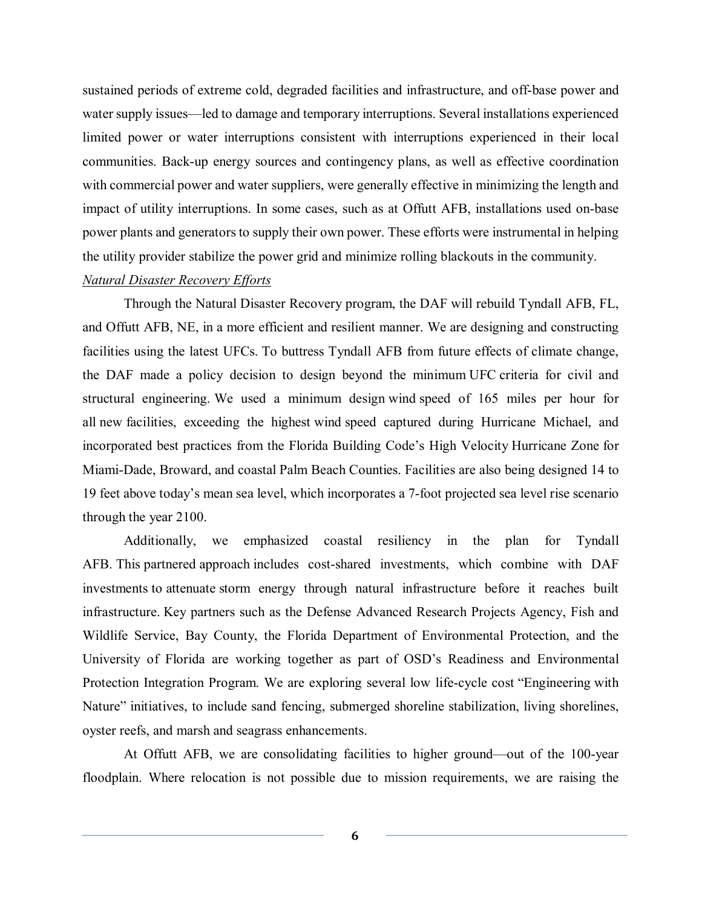sustained periods of extreme cold, degraded facilities and infrastructure, and off-base power and water supply issues—led to damage and temporary interruptions. Several installations experienced limited power or water interruptions consistent with interruptions experienced in their local communities. Back-up energy sources and contingency plans, as well as effective coordination with commercial power and water suppliers, were generally effective in minimizing the length and impact of utility interruptions. In some cases, such as at Offutt AFB, installations used on-base power plants and generators to supply their own power. These efforts were instrumental in helping the utility provider stabilize the power grid and minimize rolling blackouts in the community.

## *Natural Disaster Recovery Efforts*

Through the Natural Disaster Recovery program, the DAF will rebuild Tyndall AFB, FL, and Offutt AFB, NE, in a more efficient and resilient manner. We are designing and constructing facilities using the latest UFCs. To buttress Tyndall AFB from future effects of climate change, the DAF made a policy decision to design beyond the minimum UFC criteria for civil and structural engineering. We used a minimum design wind speed of 165 miles per hour for all new facilities, exceeding the highest wind speed captured during Hurricane Michael, and incorporated best practices from the Florida Building Code's High Velocity Hurricane Zone for Miami-Dade, Broward, and coastal Palm Beach Counties. Facilities are also being designed 14 to 19 feet above today's mean sea level, which incorporates a 7-foot projected sea level rise scenario through the year 2100.

Additionally, we emphasized coastal resiliency in the plan for Tyndall AFB. This partnered approach includes cost-shared investments, which combine with DAF investments to attenuate storm energy through natural infrastructure before it reaches built infrastructure. Key partners such as the Defense Advanced Research Projects Agency, Fish and Wildlife Service, Bay County, the Florida Department of Environmental Protection, and the University of Florida are working together as part of OSD's Readiness and Environmental Protection Integration Program. We are exploring several low life-cycle cost "Engineering with Nature" initiatives, to include sand fencing, submerged shoreline stabilization, living shorelines, oyster reefs, and marsh and seagrass enhancements.

At Offutt AFB, we are consolidating facilities to higher ground—out of the 100-year floodplain. Where relocation is not possible due to mission requirements, we are raising the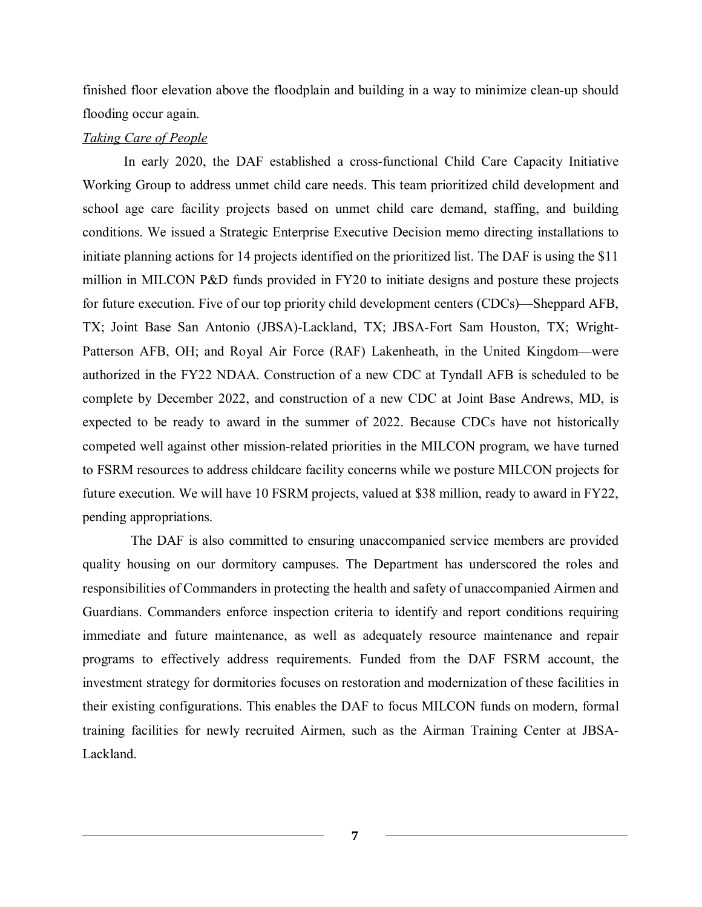finished floor elevation above the floodplain and building in a way to minimize clean-up should flooding occur again.

## *Taking Care of People*

In early 2020, the DAF established a cross-functional Child Care Capacity Initiative Working Group to address unmet child care needs. This team prioritized child development and school age care facility projects based on unmet child care demand, staffing, and building conditions. We issued a Strategic Enterprise Executive Decision memo directing installations to initiate planning actions for 14 projects identified on the prioritized list. The DAF is using the \$11 million in MILCON P&D funds provided in FY20 to initiate designs and posture these projects for future execution. Five of our top priority child development centers (CDCs)—Sheppard AFB, TX; Joint Base San Antonio (JBSA)-Lackland, TX; JBSA-Fort Sam Houston, TX; Wright-Patterson AFB, OH; and Royal Air Force (RAF) Lakenheath, in the United Kingdom—were authorized in the FY22 NDAA. Construction of a new CDC at Tyndall AFB is scheduled to be complete by December 2022, and construction of a new CDC at Joint Base Andrews, MD, is expected to be ready to award in the summer of 2022. Because CDCs have not historically competed well against other mission-related priorities in the MILCON program, we have turned to FSRM resources to address childcare facility concerns while we posture MILCON projects for future execution. We will have 10 FSRM projects, valued at \$38 million, ready to award in FY22, pending appropriations.

 The DAF is also committed to ensuring unaccompanied service members are provided quality housing on our dormitory campuses. The Department has underscored the roles and responsibilities of Commanders in protecting the health and safety of unaccompanied Airmen and Guardians. Commanders enforce inspection criteria to identify and report conditions requiring immediate and future maintenance, as well as adequately resource maintenance and repair programs to effectively address requirements. Funded from the DAF FSRM account, the investment strategy for dormitories focuses on restoration and modernization of these facilities in their existing configurations. This enables the DAF to focus MILCON funds on modern, formal training facilities for newly recruited Airmen, such as the Airman Training Center at JBSA-Lackland.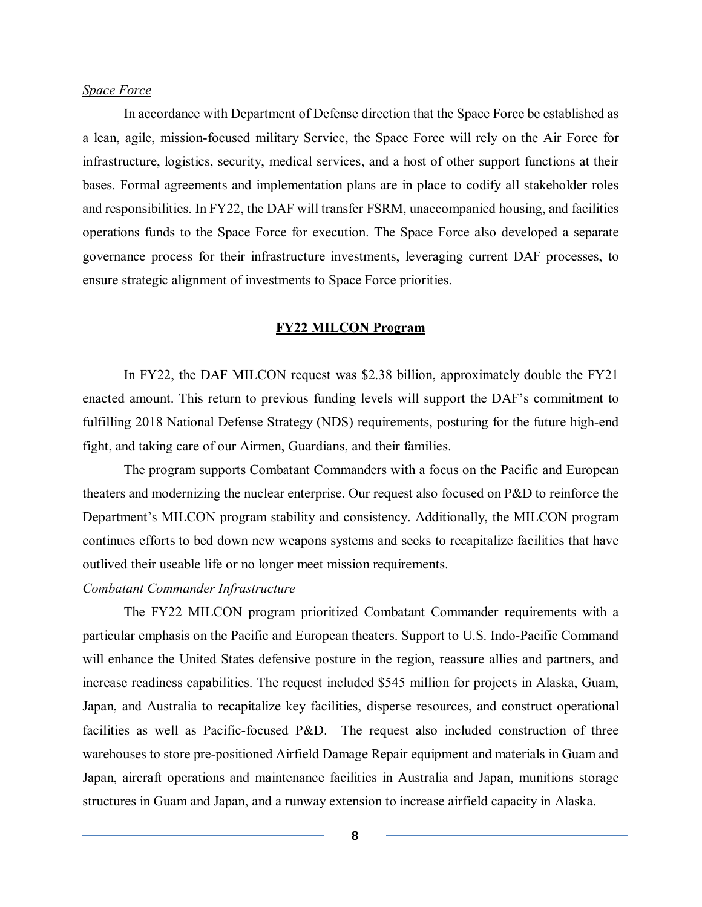#### *Space Force*

In accordance with Department of Defense direction that the Space Force be established as a lean, agile, mission-focused military Service, the Space Force will rely on the Air Force for infrastructure, logistics, security, medical services, and a host of other support functions at their bases. Formal agreements and implementation plans are in place to codify all stakeholder roles and responsibilities. In FY22, the DAF will transfer FSRM, unaccompanied housing, and facilities operations funds to the Space Force for execution. The Space Force also developed a separate governance process for their infrastructure investments, leveraging current DAF processes, to ensure strategic alignment of investments to Space Force priorities.

#### **FY22 MILCON Program**

In FY22, the DAF MILCON request was \$2.38 billion, approximately double the FY21 enacted amount. This return to previous funding levels will support the DAF's commitment to fulfilling 2018 National Defense Strategy (NDS) requirements, posturing for the future high-end fight, and taking care of our Airmen, Guardians, and their families.

The program supports Combatant Commanders with a focus on the Pacific and European theaters and modernizing the nuclear enterprise. Our request also focused on P&D to reinforce the Department's MILCON program stability and consistency. Additionally, the MILCON program continues efforts to bed down new weapons systems and seeks to recapitalize facilities that have outlived their useable life or no longer meet mission requirements.

## *Combatant Commander Infrastructure*

The FY22 MILCON program prioritized Combatant Commander requirements with a particular emphasis on the Pacific and European theaters. Support to U.S. Indo-Pacific Command will enhance the United States defensive posture in the region, reassure allies and partners, and increase readiness capabilities. The request included \$545 million for projects in Alaska, Guam, Japan, and Australia to recapitalize key facilities, disperse resources, and construct operational facilities as well as Pacific-focused P&D. The request also included construction of three warehouses to store pre-positioned Airfield Damage Repair equipment and materials in Guam and Japan, aircraft operations and maintenance facilities in Australia and Japan, munitions storage structures in Guam and Japan, and a runway extension to increase airfield capacity in Alaska.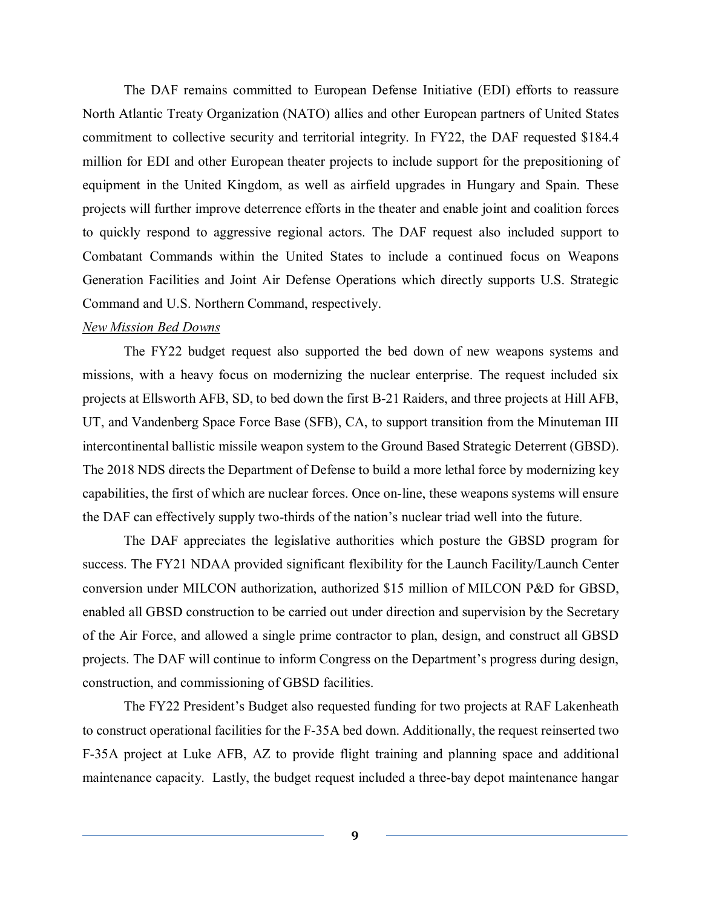The DAF remains committed to European Defense Initiative (EDI) efforts to reassure North Atlantic Treaty Organization (NATO) allies and other European partners of United States commitment to collective security and territorial integrity. In FY22, the DAF requested \$184.4 million for EDI and other European theater projects to include support for the prepositioning of equipment in the United Kingdom, as well as airfield upgrades in Hungary and Spain. These projects will further improve deterrence efforts in the theater and enable joint and coalition forces to quickly respond to aggressive regional actors. The DAF request also included support to Combatant Commands within the United States to include a continued focus on Weapons Generation Facilities and Joint Air Defense Operations which directly supports U.S. Strategic Command and U.S. Northern Command, respectively.

#### *New Mission Bed Downs*

The FY22 budget request also supported the bed down of new weapons systems and missions, with a heavy focus on modernizing the nuclear enterprise. The request included six projects at Ellsworth AFB, SD, to bed down the first B-21 Raiders, and three projects at Hill AFB, UT, and Vandenberg Space Force Base (SFB), CA, to support transition from the Minuteman III intercontinental ballistic missile weapon system to the Ground Based Strategic Deterrent (GBSD). The 2018 NDS directs the Department of Defense to build a more lethal force by modernizing key capabilities, the first of which are nuclear forces. Once on-line, these weapons systems will ensure the DAF can effectively supply two-thirds of the nation's nuclear triad well into the future.

The DAF appreciates the legislative authorities which posture the GBSD program for success. The FY21 NDAA provided significant flexibility for the Launch Facility/Launch Center conversion under MILCON authorization, authorized \$15 million of MILCON P&D for GBSD, enabled all GBSD construction to be carried out under direction and supervision by the Secretary of the Air Force, and allowed a single prime contractor to plan, design, and construct all GBSD projects. The DAF will continue to inform Congress on the Department's progress during design, construction, and commissioning of GBSD facilities.

The FY22 President's Budget also requested funding for two projects at RAF Lakenheath to construct operational facilities for the F-35A bed down. Additionally, the request reinserted two F-35A project at Luke AFB, AZ to provide flight training and planning space and additional maintenance capacity. Lastly, the budget request included a three-bay depot maintenance hangar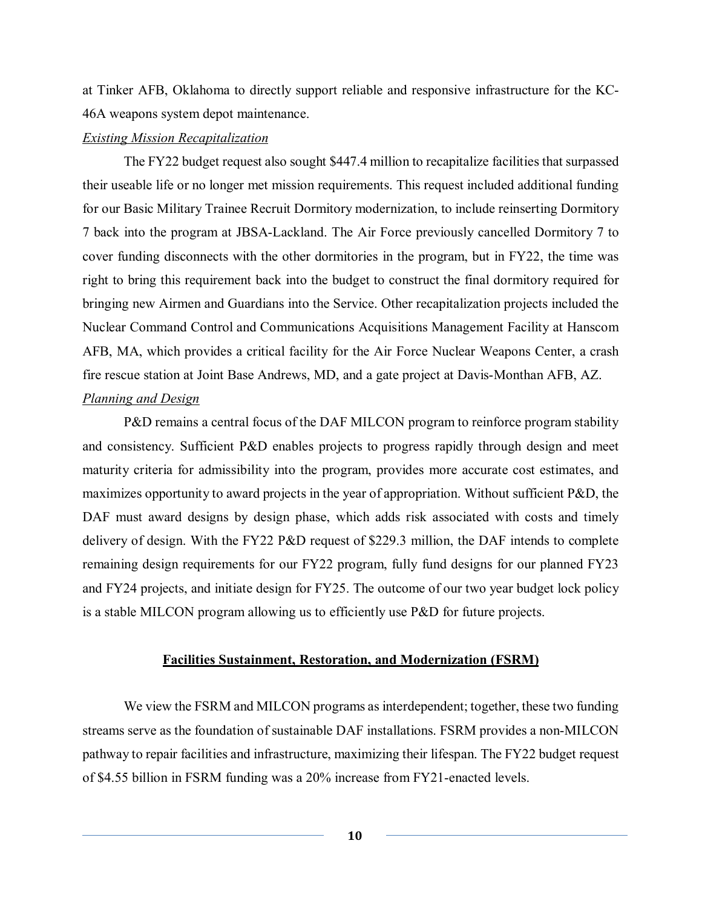at Tinker AFB, Oklahoma to directly support reliable and responsive infrastructure for the KC-46A weapons system depot maintenance.

### *Existing Mission Recapitalization*

The FY22 budget request also sought \$447.4 million to recapitalize facilities that surpassed their useable life or no longer met mission requirements. This request included additional funding for our Basic Military Trainee Recruit Dormitory modernization, to include reinserting Dormitory 7 back into the program at JBSA-Lackland. The Air Force previously cancelled Dormitory 7 to cover funding disconnects with the other dormitories in the program, but in FY22, the time was right to bring this requirement back into the budget to construct the final dormitory required for bringing new Airmen and Guardians into the Service. Other recapitalization projects included the Nuclear Command Control and Communications Acquisitions Management Facility at Hanscom AFB, MA, which provides a critical facility for the Air Force Nuclear Weapons Center, a crash fire rescue station at Joint Base Andrews, MD, and a gate project at Davis-Monthan AFB, AZ. *Planning and Design*

P&D remains a central focus of the DAF MILCON program to reinforce program stability and consistency. Sufficient P&D enables projects to progress rapidly through design and meet maturity criteria for admissibility into the program, provides more accurate cost estimates, and maximizes opportunity to award projects in the year of appropriation. Without sufficient P&D, the DAF must award designs by design phase, which adds risk associated with costs and timely delivery of design. With the FY22 P&D request of \$229.3 million, the DAF intends to complete remaining design requirements for our FY22 program, fully fund designs for our planned FY23 and FY24 projects, and initiate design for FY25. The outcome of our two year budget lock policy is a stable MILCON program allowing us to efficiently use P&D for future projects.

#### **Facilities Sustainment, Restoration, and Modernization (FSRM)**

We view the FSRM and MILCON programs as interdependent; together, these two funding streams serve as the foundation of sustainable DAF installations. FSRM provides a non-MILCON pathway to repair facilities and infrastructure, maximizing their lifespan. The FY22 budget request of \$4.55 billion in FSRM funding was a 20% increase from FY21-enacted levels.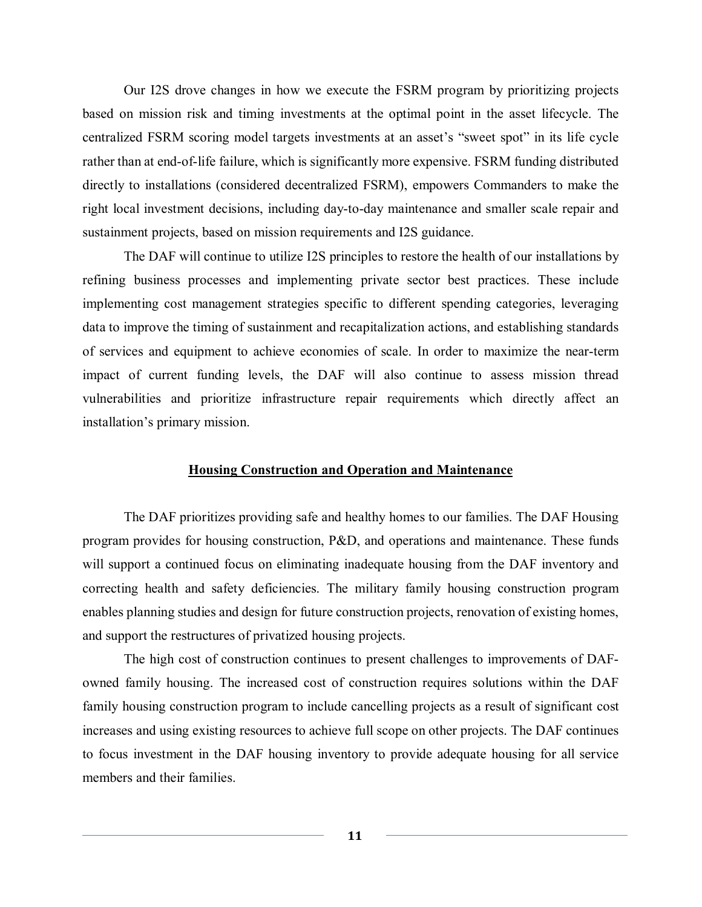Our I2S drove changes in how we execute the FSRM program by prioritizing projects based on mission risk and timing investments at the optimal point in the asset lifecycle. The centralized FSRM scoring model targets investments at an asset's "sweet spot" in its life cycle rather than at end-of-life failure, which is significantly more expensive. FSRM funding distributed directly to installations (considered decentralized FSRM), empowers Commanders to make the right local investment decisions, including day-to-day maintenance and smaller scale repair and sustainment projects, based on mission requirements and I2S guidance.

The DAF will continue to utilize I2S principles to restore the health of our installations by refining business processes and implementing private sector best practices. These include implementing cost management strategies specific to different spending categories, leveraging data to improve the timing of sustainment and recapitalization actions, and establishing standards of services and equipment to achieve economies of scale. In order to maximize the near-term impact of current funding levels, the DAF will also continue to assess mission thread vulnerabilities and prioritize infrastructure repair requirements which directly affect an installation's primary mission.

### **Housing Construction and Operation and Maintenance**

The DAF prioritizes providing safe and healthy homes to our families. The DAF Housing program provides for housing construction, P&D, and operations and maintenance. These funds will support a continued focus on eliminating inadequate housing from the DAF inventory and correcting health and safety deficiencies. The military family housing construction program enables planning studies and design for future construction projects, renovation of existing homes, and support the restructures of privatized housing projects.

The high cost of construction continues to present challenges to improvements of DAFowned family housing. The increased cost of construction requires solutions within the DAF family housing construction program to include cancelling projects as a result of significant cost increases and using existing resources to achieve full scope on other projects. The DAF continues to focus investment in the DAF housing inventory to provide adequate housing for all service members and their families.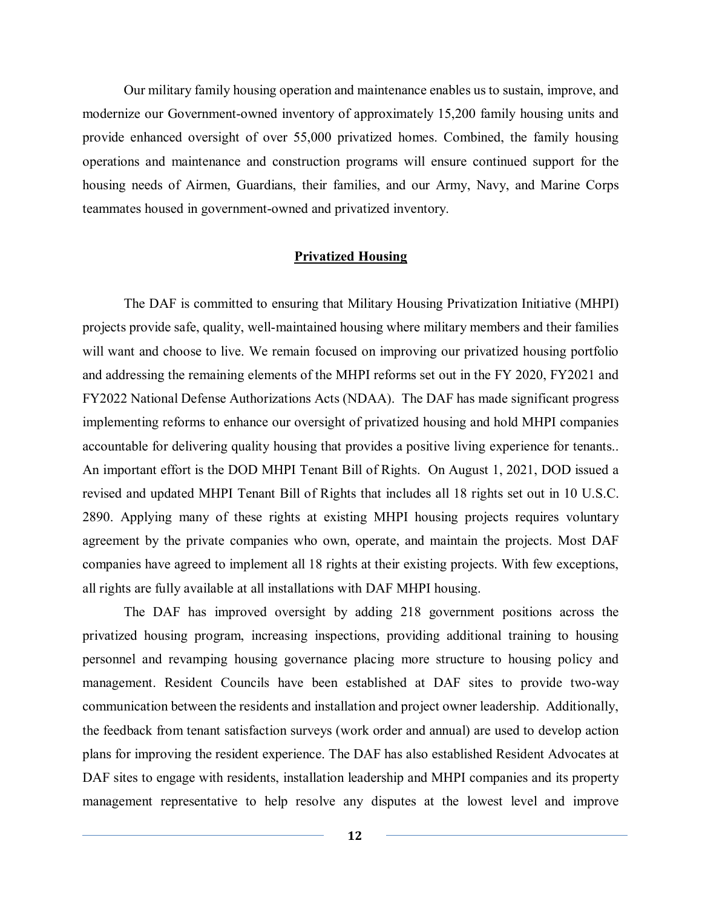Our military family housing operation and maintenance enables us to sustain, improve, and modernize our Government-owned inventory of approximately 15,200 family housing units and provide enhanced oversight of over 55,000 privatized homes. Combined, the family housing operations and maintenance and construction programs will ensure continued support for the housing needs of Airmen, Guardians, their families, and our Army, Navy, and Marine Corps teammates housed in government-owned and privatized inventory.

#### **Privatized Housing**

The DAF is committed to ensuring that Military Housing Privatization Initiative (MHPI) projects provide safe, quality, well-maintained housing where military members and their families will want and choose to live. We remain focused on improving our privatized housing portfolio and addressing the remaining elements of the MHPI reforms set out in the FY 2020, FY2021 and FY2022 National Defense Authorizations Acts (NDAA). The DAF has made significant progress implementing reforms to enhance our oversight of privatized housing and hold MHPI companies accountable for delivering quality housing that provides a positive living experience for tenants.. An important effort is the DOD MHPI Tenant Bill of Rights. On August 1, 2021, DOD issued a revised and updated MHPI Tenant Bill of Rights that includes all 18 rights set out in 10 U.S.C. 2890. Applying many of these rights at existing MHPI housing projects requires voluntary agreement by the private companies who own, operate, and maintain the projects. Most DAF companies have agreed to implement all 18 rights at their existing projects. With few exceptions, all rights are fully available at all installations with DAF MHPI housing.

The DAF has improved oversight by adding 218 government positions across the privatized housing program, increasing inspections, providing additional training to housing personnel and revamping housing governance placing more structure to housing policy and management. Resident Councils have been established at DAF sites to provide two-way communication between the residents and installation and project owner leadership. Additionally, the feedback from tenant satisfaction surveys (work order and annual) are used to develop action plans for improving the resident experience. The DAF has also established Resident Advocates at DAF sites to engage with residents, installation leadership and MHPI companies and its property management representative to help resolve any disputes at the lowest level and improve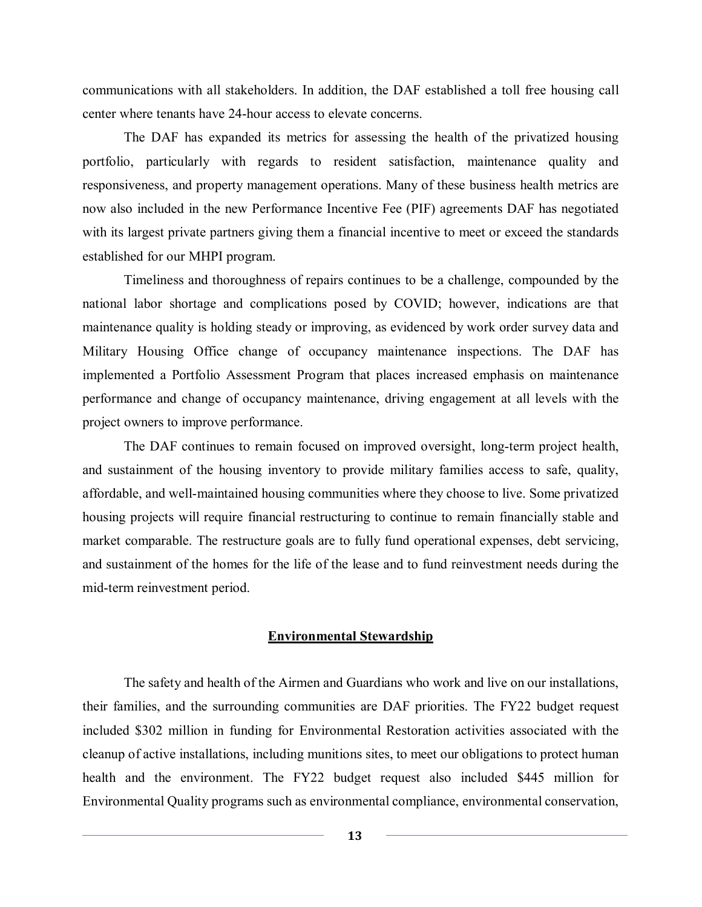communications with all stakeholders. In addition, the DAF established a toll free housing call center where tenants have 24-hour access to elevate concerns.

The DAF has expanded its metrics for assessing the health of the privatized housing portfolio, particularly with regards to resident satisfaction, maintenance quality and responsiveness, and property management operations. Many of these business health metrics are now also included in the new Performance Incentive Fee (PIF) agreements DAF has negotiated with its largest private partners giving them a financial incentive to meet or exceed the standards established for our MHPI program.

Timeliness and thoroughness of repairs continues to be a challenge, compounded by the national labor shortage and complications posed by COVID; however, indications are that maintenance quality is holding steady or improving, as evidenced by work order survey data and Military Housing Office change of occupancy maintenance inspections. The DAF has implemented a Portfolio Assessment Program that places increased emphasis on maintenance performance and change of occupancy maintenance, driving engagement at all levels with the project owners to improve performance.

The DAF continues to remain focused on improved oversight, long-term project health, and sustainment of the housing inventory to provide military families access to safe, quality, affordable, and well-maintained housing communities where they choose to live. Some privatized housing projects will require financial restructuring to continue to remain financially stable and market comparable. The restructure goals are to fully fund operational expenses, debt servicing, and sustainment of the homes for the life of the lease and to fund reinvestment needs during the mid-term reinvestment period.

## **Environmental Stewardship**

The safety and health of the Airmen and Guardians who work and live on our installations, their families, and the surrounding communities are DAF priorities. The FY22 budget request included \$302 million in funding for Environmental Restoration activities associated with the cleanup of active installations, including munitions sites, to meet our obligations to protect human health and the environment. The FY22 budget request also included \$445 million for Environmental Quality programs such as environmental compliance, environmental conservation,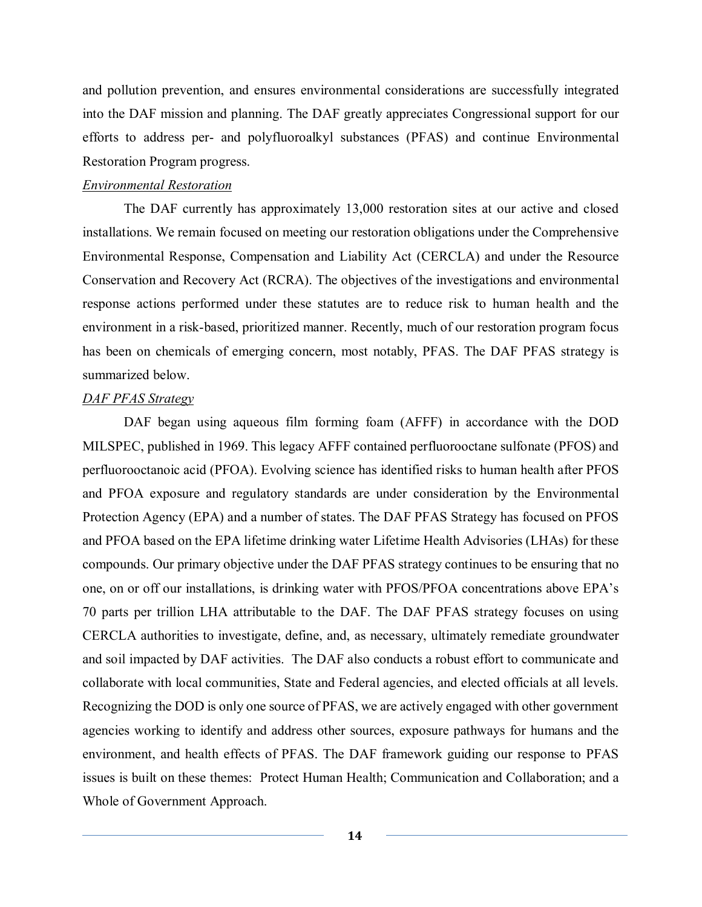and pollution prevention, and ensures environmental considerations are successfully integrated into the DAF mission and planning. The DAF greatly appreciates Congressional support for our efforts to address per- and polyfluoroalkyl substances (PFAS) and continue Environmental Restoration Program progress.

### *Environmental Restoration*

The DAF currently has approximately 13,000 restoration sites at our active and closed installations. We remain focused on meeting our restoration obligations under the Comprehensive Environmental Response, Compensation and Liability Act (CERCLA) and under the Resource Conservation and Recovery Act (RCRA). The objectives of the investigations and environmental response actions performed under these statutes are to reduce risk to human health and the environment in a risk-based, prioritized manner. Recently, much of our restoration program focus has been on chemicals of emerging concern, most notably, PFAS. The DAF PFAS strategy is summarized below.

# *DAF PFAS Strategy*

DAF began using aqueous film forming foam (AFFF) in accordance with the DOD MILSPEC, published in 1969. This legacy AFFF contained perfluorooctane sulfonate (PFOS) and perfluorooctanoic acid (PFOA). Evolving science has identified risks to human health after PFOS and PFOA exposure and regulatory standards are under consideration by the Environmental Protection Agency (EPA) and a number of states. The DAF PFAS Strategy has focused on PFOS and PFOA based on the EPA lifetime drinking water Lifetime Health Advisories (LHAs) for these compounds. Our primary objective under the DAF PFAS strategy continues to be ensuring that no one, on or off our installations, is drinking water with PFOS/PFOA concentrations above EPA's 70 parts per trillion LHA attributable to the DAF. The DAF PFAS strategy focuses on using CERCLA authorities to investigate, define, and, as necessary, ultimately remediate groundwater and soil impacted by DAF activities. The DAF also conducts a robust effort to communicate and collaborate with local communities, State and Federal agencies, and elected officials at all levels. Recognizing the DOD is only one source of PFAS, we are actively engaged with other government agencies working to identify and address other sources, exposure pathways for humans and the environment, and health effects of PFAS. The DAF framework guiding our response to PFAS issues is built on these themes: Protect Human Health; Communication and Collaboration; and a Whole of Government Approach.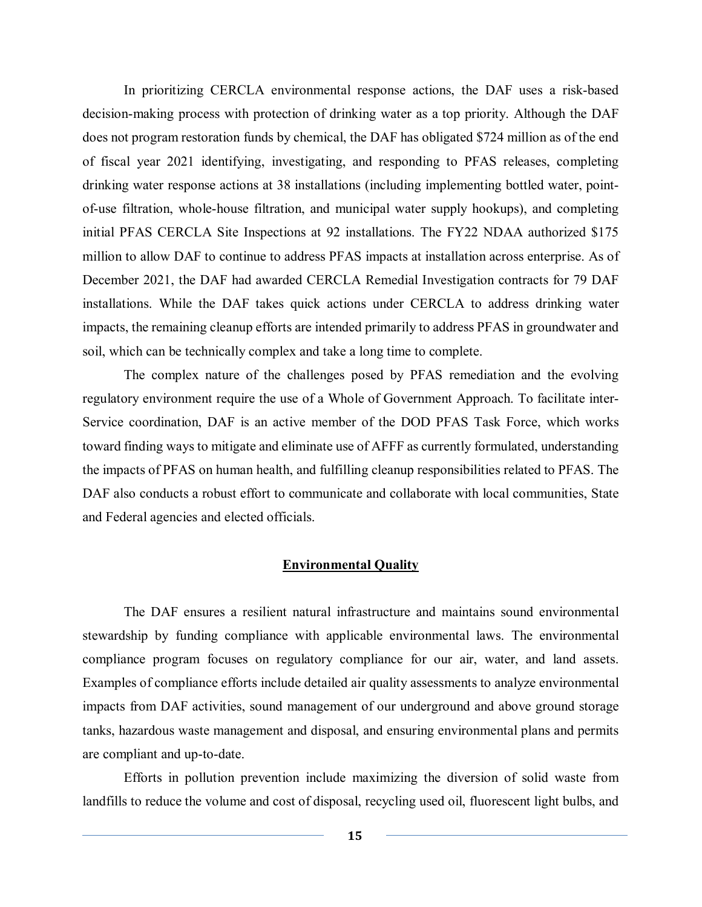In prioritizing CERCLA environmental response actions, the DAF uses a risk-based decision-making process with protection of drinking water as a top priority. Although the DAF does not program restoration funds by chemical, the DAF has obligated \$724 million as of the end of fiscal year 2021 identifying, investigating, and responding to PFAS releases, completing drinking water response actions at 38 installations (including implementing bottled water, pointof-use filtration, whole-house filtration, and municipal water supply hookups), and completing initial PFAS CERCLA Site Inspections at 92 installations. The FY22 NDAA authorized \$175 million to allow DAF to continue to address PFAS impacts at installation across enterprise. As of December 2021, the DAF had awarded CERCLA Remedial Investigation contracts for 79 DAF installations. While the DAF takes quick actions under CERCLA to address drinking water impacts, the remaining cleanup efforts are intended primarily to address PFAS in groundwater and soil, which can be technically complex and take a long time to complete.

The complex nature of the challenges posed by PFAS remediation and the evolving regulatory environment require the use of a Whole of Government Approach. To facilitate inter-Service coordination, DAF is an active member of the DOD PFAS Task Force, which works toward finding ways to mitigate and eliminate use of AFFF as currently formulated, understanding the impacts of PFAS on human health, and fulfilling cleanup responsibilities related to PFAS. The DAF also conducts a robust effort to communicate and collaborate with local communities, State and Federal agencies and elected officials.

#### **Environmental Quality**

The DAF ensures a resilient natural infrastructure and maintains sound environmental stewardship by funding compliance with applicable environmental laws. The environmental compliance program focuses on regulatory compliance for our air, water, and land assets. Examples of compliance efforts include detailed air quality assessments to analyze environmental impacts from DAF activities, sound management of our underground and above ground storage tanks, hazardous waste management and disposal, and ensuring environmental plans and permits are compliant and up-to-date.

Efforts in pollution prevention include maximizing the diversion of solid waste from landfills to reduce the volume and cost of disposal, recycling used oil, fluorescent light bulbs, and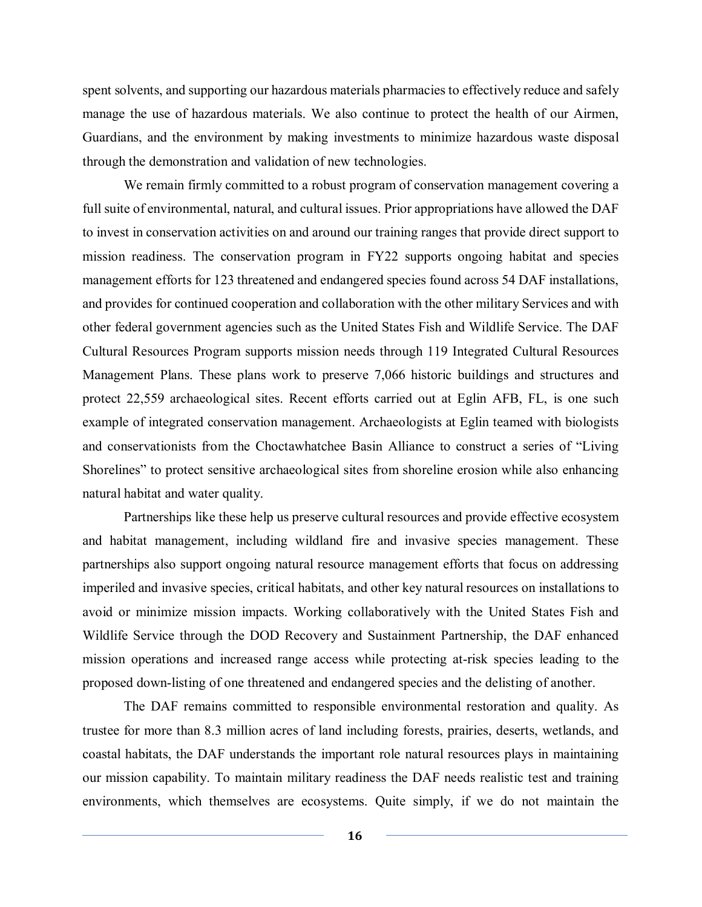spent solvents, and supporting our hazardous materials pharmacies to effectively reduce and safely manage the use of hazardous materials. We also continue to protect the health of our Airmen, Guardians, and the environment by making investments to minimize hazardous waste disposal through the demonstration and validation of new technologies.

We remain firmly committed to a robust program of conservation management covering a full suite of environmental, natural, and cultural issues. Prior appropriations have allowed the DAF to invest in conservation activities on and around our training ranges that provide direct support to mission readiness. The conservation program in FY22 supports ongoing habitat and species management efforts for 123 threatened and endangered species found across 54 DAF installations, and provides for continued cooperation and collaboration with the other military Services and with other federal government agencies such as the United States Fish and Wildlife Service. The DAF Cultural Resources Program supports mission needs through 119 Integrated Cultural Resources Management Plans. These plans work to preserve 7,066 historic buildings and structures and protect 22,559 archaeological sites. Recent efforts carried out at Eglin AFB, FL, is one such example of integrated conservation management. Archaeologists at Eglin teamed with biologists and conservationists from the Choctawhatchee Basin Alliance to construct a series of "Living Shorelines" to protect sensitive archaeological sites from shoreline erosion while also enhancing natural habitat and water quality.

Partnerships like these help us preserve cultural resources and provide effective ecosystem and habitat management, including wildland fire and invasive species management. These partnerships also support ongoing natural resource management efforts that focus on addressing imperiled and invasive species, critical habitats, and other key natural resources on installations to avoid or minimize mission impacts. Working collaboratively with the United States Fish and Wildlife Service through the DOD Recovery and Sustainment Partnership, the DAF enhanced mission operations and increased range access while protecting at-risk species leading to the proposed down-listing of one threatened and endangered species and the delisting of another.

The DAF remains committed to responsible environmental restoration and quality. As trustee for more than 8.3 million acres of land including forests, prairies, deserts, wetlands, and coastal habitats, the DAF understands the important role natural resources plays in maintaining our mission capability. To maintain military readiness the DAF needs realistic test and training environments, which themselves are ecosystems. Quite simply, if we do not maintain the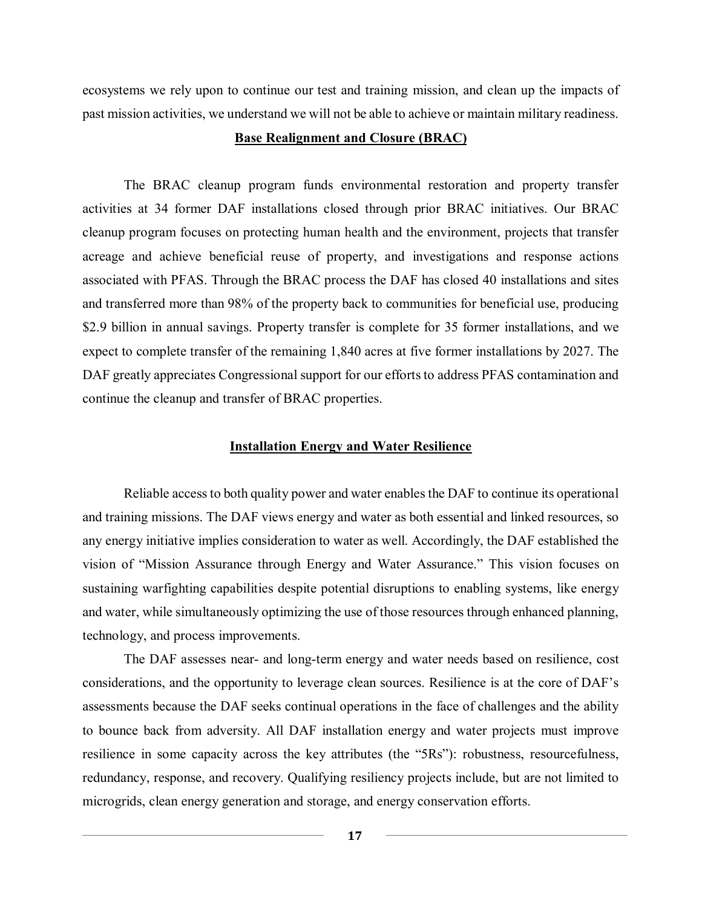ecosystems we rely upon to continue our test and training mission, and clean up the impacts of past mission activities, we understand we will not be able to achieve or maintain military readiness.

## **Base Realignment and Closure (BRAC)**

The BRAC cleanup program funds environmental restoration and property transfer activities at 34 former DAF installations closed through prior BRAC initiatives. Our BRAC cleanup program focuses on protecting human health and the environment, projects that transfer acreage and achieve beneficial reuse of property, and investigations and response actions associated with PFAS. Through the BRAC process the DAF has closed 40 installations and sites and transferred more than 98% of the property back to communities for beneficial use, producing \$2.9 billion in annual savings. Property transfer is complete for 35 former installations, and we expect to complete transfer of the remaining 1,840 acres at five former installations by 2027. The DAF greatly appreciates Congressional support for our efforts to address PFAS contamination and continue the cleanup and transfer of BRAC properties.

#### **Installation Energy and Water Resilience**

Reliable access to both quality power and water enables the DAF to continue its operational and training missions. The DAF views energy and water as both essential and linked resources, so any energy initiative implies consideration to water as well. Accordingly, the DAF established the vision of "Mission Assurance through Energy and Water Assurance." This vision focuses on sustaining warfighting capabilities despite potential disruptions to enabling systems, like energy and water, while simultaneously optimizing the use of those resources through enhanced planning, technology, and process improvements.

The DAF assesses near- and long-term energy and water needs based on resilience, cost considerations, and the opportunity to leverage clean sources. Resilience is at the core of DAF's assessments because the DAF seeks continual operations in the face of challenges and the ability to bounce back from adversity. All DAF installation energy and water projects must improve resilience in some capacity across the key attributes (the "5Rs"): robustness, resourcefulness, redundancy, response, and recovery. Qualifying resiliency projects include, but are not limited to microgrids, clean energy generation and storage, and energy conservation efforts.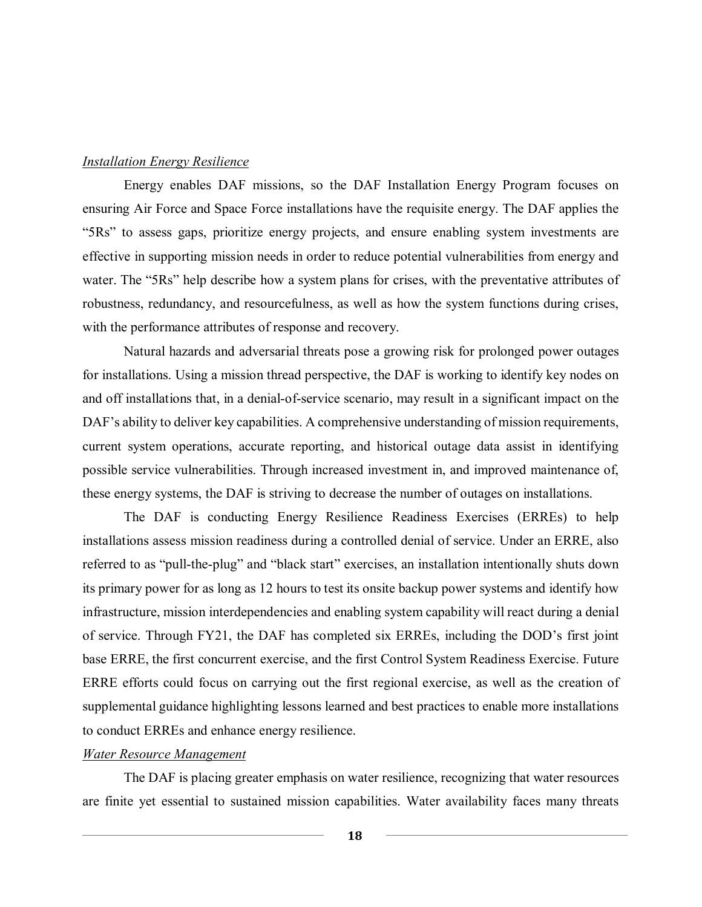### *Installation Energy Resilience*

Energy enables DAF missions, so the DAF Installation Energy Program focuses on ensuring Air Force and Space Force installations have the requisite energy. The DAF applies the "5Rs" to assess gaps, prioritize energy projects, and ensure enabling system investments are effective in supporting mission needs in order to reduce potential vulnerabilities from energy and water. The "5Rs" help describe how a system plans for crises, with the preventative attributes of robustness, redundancy, and resourcefulness, as well as how the system functions during crises, with the performance attributes of response and recovery.

Natural hazards and adversarial threats pose a growing risk for prolonged power outages for installations. Using a mission thread perspective, the DAF is working to identify key nodes on and off installations that, in a denial-of-service scenario, may result in a significant impact on the DAF's ability to deliver key capabilities. A comprehensive understanding of mission requirements, current system operations, accurate reporting, and historical outage data assist in identifying possible service vulnerabilities. Through increased investment in, and improved maintenance of, these energy systems, the DAF is striving to decrease the number of outages on installations.

The DAF is conducting Energy Resilience Readiness Exercises (ERREs) to help installations assess mission readiness during a controlled denial of service. Under an ERRE, also referred to as "pull-the-plug" and "black start" exercises, an installation intentionally shuts down its primary power for as long as 12 hours to test its onsite backup power systems and identify how infrastructure, mission interdependencies and enabling system capability will react during a denial of service. Through FY21, the DAF has completed six ERREs, including the DOD's first joint base ERRE, the first concurrent exercise, and the first Control System Readiness Exercise. Future ERRE efforts could focus on carrying out the first regional exercise, as well as the creation of supplemental guidance highlighting lessons learned and best practices to enable more installations to conduct ERREs and enhance energy resilience.

#### *Water Resource Management*

The DAF is placing greater emphasis on water resilience, recognizing that water resources are finite yet essential to sustained mission capabilities. Water availability faces many threats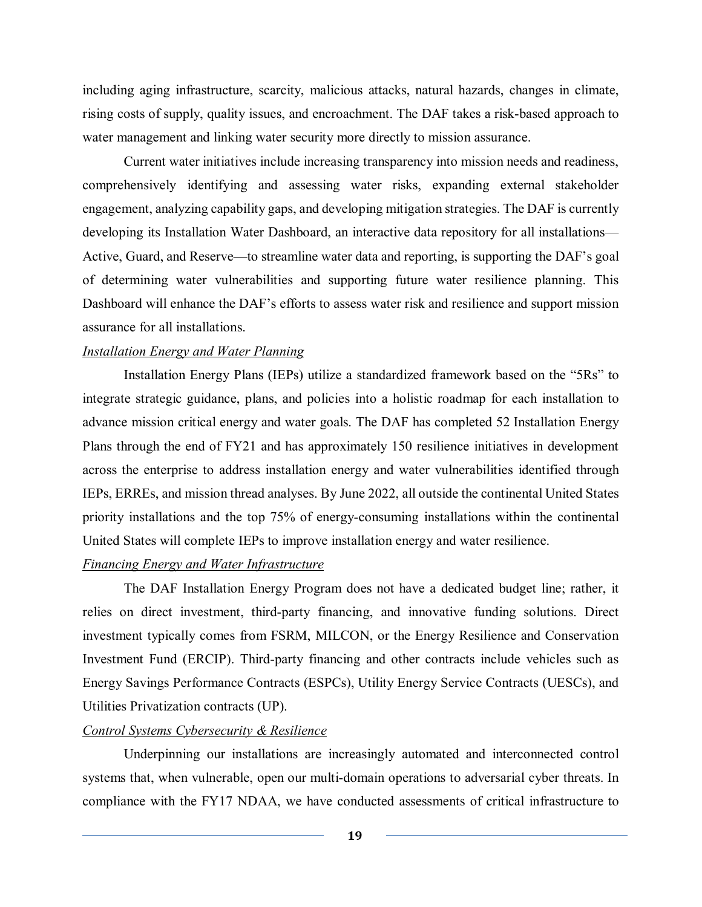including aging infrastructure, scarcity, malicious attacks, natural hazards, changes in climate, rising costs of supply, quality issues, and encroachment. The DAF takes a risk-based approach to water management and linking water security more directly to mission assurance.

Current water initiatives include increasing transparency into mission needs and readiness, comprehensively identifying and assessing water risks, expanding external stakeholder engagement, analyzing capability gaps, and developing mitigation strategies. The DAF is currently developing its Installation Water Dashboard, an interactive data repository for all installations— Active, Guard, and Reserve—to streamline water data and reporting, is supporting the DAF's goal of determining water vulnerabilities and supporting future water resilience planning. This Dashboard will enhance the DAF's efforts to assess water risk and resilience and support mission assurance for all installations.

#### *Installation Energy and Water Planning*

Installation Energy Plans (IEPs) utilize a standardized framework based on the "5Rs" to integrate strategic guidance, plans, and policies into a holistic roadmap for each installation to advance mission critical energy and water goals. The DAF has completed 52 Installation Energy Plans through the end of FY21 and has approximately 150 resilience initiatives in development across the enterprise to address installation energy and water vulnerabilities identified through IEPs, ERREs, and mission thread analyses. By June 2022, all outside the continental United States priority installations and the top 75% of energy-consuming installations within the continental United States will complete IEPs to improve installation energy and water resilience.

### *Financing Energy and Water Infrastructure*

The DAF Installation Energy Program does not have a dedicated budget line; rather, it relies on direct investment, third-party financing, and innovative funding solutions. Direct investment typically comes from FSRM, MILCON, or the Energy Resilience and Conservation Investment Fund (ERCIP). Third-party financing and other contracts include vehicles such as Energy Savings Performance Contracts (ESPCs), Utility Energy Service Contracts (UESCs), and Utilities Privatization contracts (UP).

## *Control Systems Cybersecurity & Resilience*

Underpinning our installations are increasingly automated and interconnected control systems that, when vulnerable, open our multi-domain operations to adversarial cyber threats. In compliance with the FY17 NDAA, we have conducted assessments of critical infrastructure to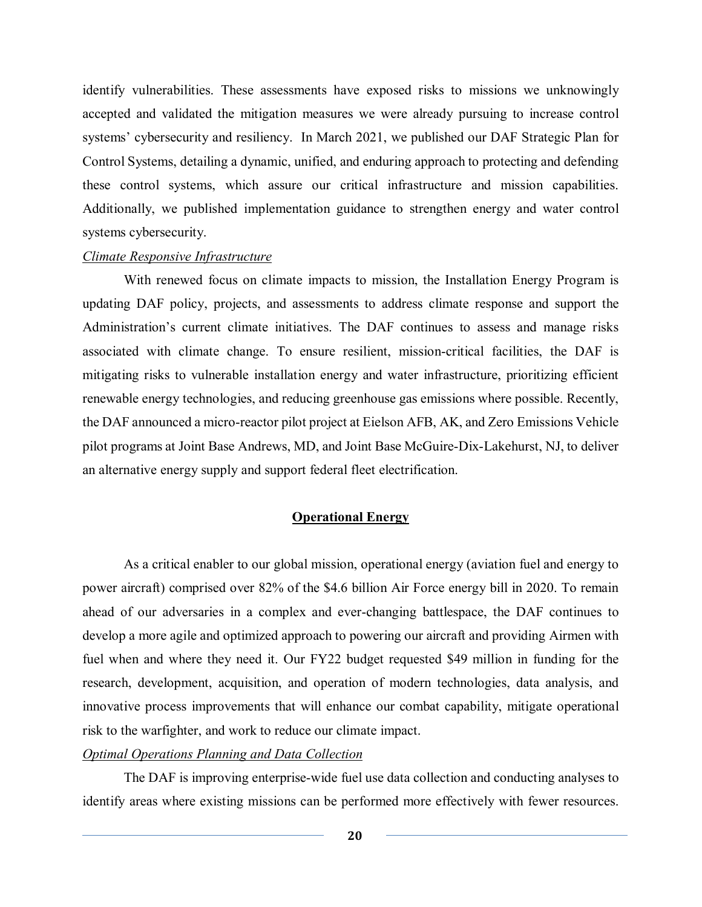identify vulnerabilities. These assessments have exposed risks to missions we unknowingly accepted and validated the mitigation measures we were already pursuing to increase control systems' cybersecurity and resiliency. In March 2021, we published our DAF Strategic Plan for Control Systems, detailing a dynamic, unified, and enduring approach to protecting and defending these control systems, which assure our critical infrastructure and mission capabilities. Additionally, we published implementation guidance to strengthen energy and water control systems cybersecurity.

## *Climate Responsive Infrastructure*

With renewed focus on climate impacts to mission, the Installation Energy Program is updating DAF policy, projects, and assessments to address climate response and support the Administration's current climate initiatives. The DAF continues to assess and manage risks associated with climate change. To ensure resilient, mission-critical facilities, the DAF is mitigating risks to vulnerable installation energy and water infrastructure, prioritizing efficient renewable energy technologies, and reducing greenhouse gas emissions where possible. Recently, the DAF announced a micro-reactor pilot project at Eielson AFB, AK, and Zero Emissions Vehicle pilot programs at Joint Base Andrews, MD, and Joint Base McGuire-Dix-Lakehurst, NJ, to deliver an alternative energy supply and support federal fleet electrification.

### **Operational Energy**

As a critical enabler to our global mission, operational energy (aviation fuel and energy to power aircraft) comprised over 82% of the \$4.6 billion Air Force energy bill in 2020. To remain ahead of our adversaries in a complex and ever-changing battlespace, the DAF continues to develop a more agile and optimized approach to powering our aircraft and providing Airmen with fuel when and where they need it. Our FY22 budget requested \$49 million in funding for the research, development, acquisition, and operation of modern technologies, data analysis, and innovative process improvements that will enhance our combat capability, mitigate operational risk to the warfighter, and work to reduce our climate impact.

### *Optimal Operations Planning and Data Collection*

The DAF is improving enterprise-wide fuel use data collection and conducting analyses to identify areas where existing missions can be performed more effectively with fewer resources.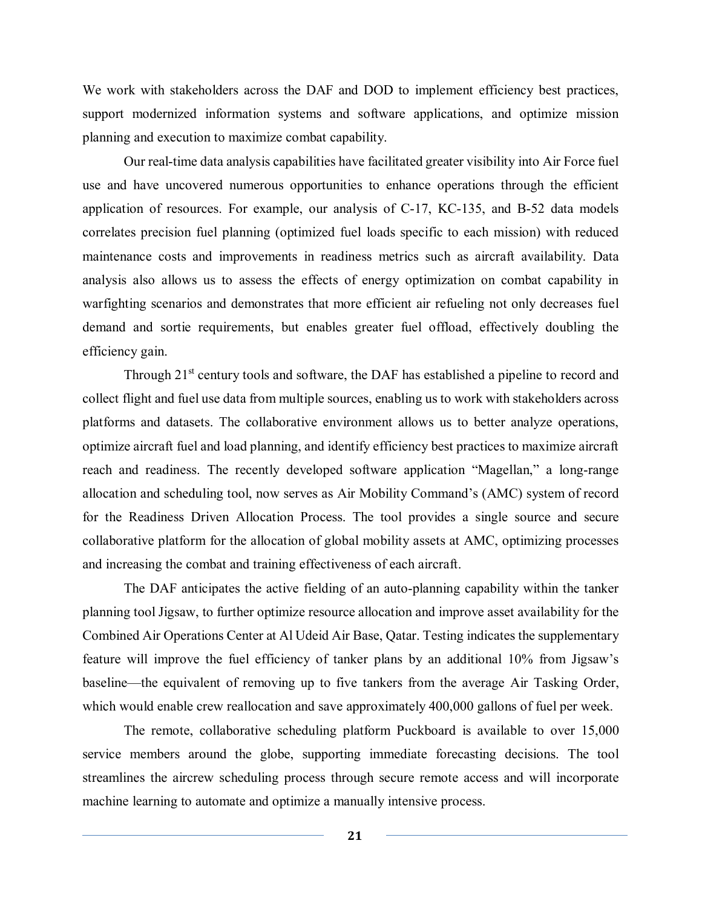We work with stakeholders across the DAF and DOD to implement efficiency best practices, support modernized information systems and software applications, and optimize mission planning and execution to maximize combat capability.

Our real-time data analysis capabilities have facilitated greater visibility into Air Force fuel use and have uncovered numerous opportunities to enhance operations through the efficient application of resources. For example, our analysis of C-17, KC-135, and B-52 data models correlates precision fuel planning (optimized fuel loads specific to each mission) with reduced maintenance costs and improvements in readiness metrics such as aircraft availability. Data analysis also allows us to assess the effects of energy optimization on combat capability in warfighting scenarios and demonstrates that more efficient air refueling not only decreases fuel demand and sortie requirements, but enables greater fuel offload, effectively doubling the efficiency gain.

Through  $21<sup>st</sup>$  century tools and software, the DAF has established a pipeline to record and collect flight and fuel use data from multiple sources, enabling us to work with stakeholders across platforms and datasets. The collaborative environment allows us to better analyze operations, optimize aircraft fuel and load planning, and identify efficiency best practices to maximize aircraft reach and readiness. The recently developed software application "Magellan," a long-range allocation and scheduling tool, now serves as Air Mobility Command's (AMC) system of record for the Readiness Driven Allocation Process. The tool provides a single source and secure collaborative platform for the allocation of global mobility assets at AMC, optimizing processes and increasing the combat and training effectiveness of each aircraft.

The DAF anticipates the active fielding of an auto-planning capability within the tanker planning tool Jigsaw, to further optimize resource allocation and improve asset availability for the Combined Air Operations Center at Al Udeid Air Base, Qatar. Testing indicates the supplementary feature will improve the fuel efficiency of tanker plans by an additional 10% from Jigsaw's baseline—the equivalent of removing up to five tankers from the average Air Tasking Order, which would enable crew reallocation and save approximately 400,000 gallons of fuel per week.

The remote, collaborative scheduling platform Puckboard is available to over 15,000 service members around the globe, supporting immediate forecasting decisions. The tool streamlines the aircrew scheduling process through secure remote access and will incorporate machine learning to automate and optimize a manually intensive process.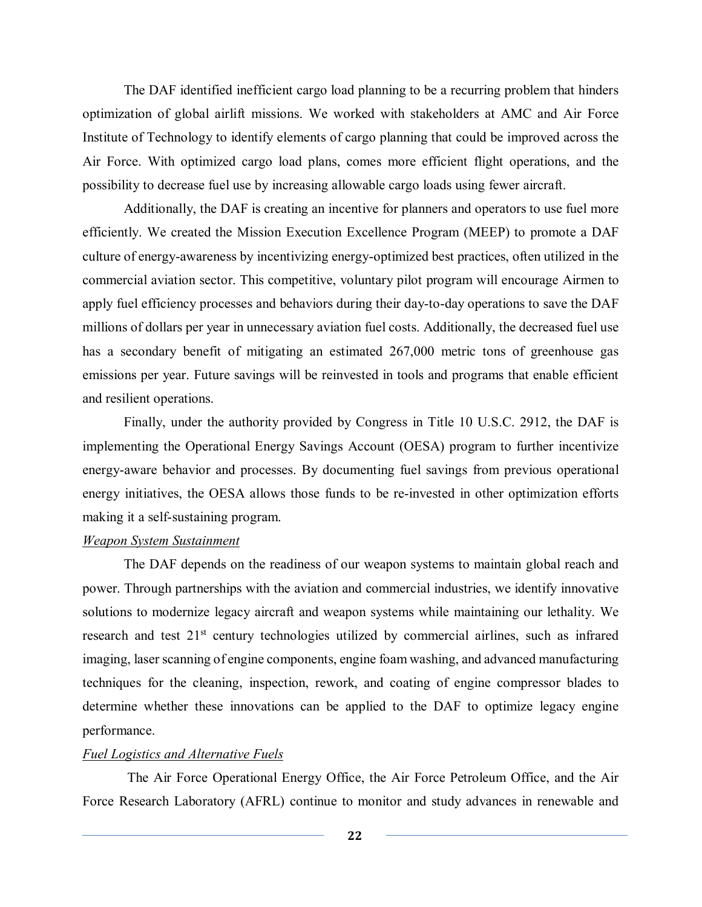The DAF identified inefficient cargo load planning to be a recurring problem that hinders optimization of global airlift missions. We worked with stakeholders at AMC and Air Force Institute of Technology to identify elements of cargo planning that could be improved across the Air Force. With optimized cargo load plans, comes more efficient flight operations, and the possibility to decrease fuel use by increasing allowable cargo loads using fewer aircraft.

Additionally, the DAF is creating an incentive for planners and operators to use fuel more efficiently. We created the Mission Execution Excellence Program (MEEP) to promote a DAF culture of energy-awareness by incentivizing energy-optimized best practices, often utilized in the commercial aviation sector. This competitive, voluntary pilot program will encourage Airmen to apply fuel efficiency processes and behaviors during their day-to-day operations to save the DAF millions of dollars per year in unnecessary aviation fuel costs. Additionally, the decreased fuel use has a secondary benefit of mitigating an estimated 267,000 metric tons of greenhouse gas emissions per year. Future savings will be reinvested in tools and programs that enable efficient and resilient operations.

Finally, under the authority provided by Congress in Title 10 U.S.C. 2912, the DAF is implementing the Operational Energy Savings Account (OESA) program to further incentivize energy-aware behavior and processes. By documenting fuel savings from previous operational energy initiatives, the OESA allows those funds to be re-invested in other optimization efforts making it a self-sustaining program.

## *Weapon System Sustainment*

The DAF depends on the readiness of our weapon systems to maintain global reach and power. Through partnerships with the aviation and commercial industries, we identify innovative solutions to modernize legacy aircraft and weapon systems while maintaining our lethality. We research and test  $21<sup>st</sup>$  century technologies utilized by commercial airlines, such as infrared imaging, laser scanning of engine components, engine foam washing, and advanced manufacturing techniques for the cleaning, inspection, rework, and coating of engine compressor blades to determine whether these innovations can be applied to the DAF to optimize legacy engine performance.

### *Fuel Logistics and Alternative Fuels*

The Air Force Operational Energy Office, the Air Force Petroleum Office, and the Air Force Research Laboratory (AFRL) continue to monitor and study advances in renewable and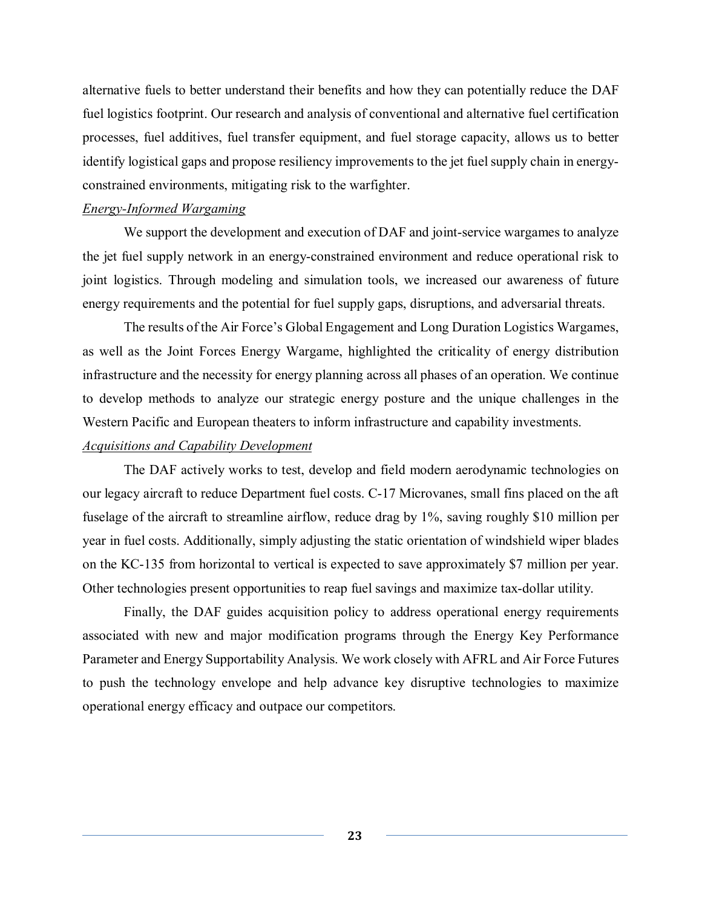alternative fuels to better understand their benefits and how they can potentially reduce the DAF fuel logistics footprint. Our research and analysis of conventional and alternative fuel certification processes, fuel additives, fuel transfer equipment, and fuel storage capacity, allows us to better identify logistical gaps and propose resiliency improvements to the jet fuel supply chain in energyconstrained environments, mitigating risk to the warfighter.

#### *Energy-Informed Wargaming*

We support the development and execution of DAF and joint-service wargames to analyze the jet fuel supply network in an energy-constrained environment and reduce operational risk to joint logistics. Through modeling and simulation tools, we increased our awareness of future energy requirements and the potential for fuel supply gaps, disruptions, and adversarial threats.

The results of the Air Force's Global Engagement and Long Duration Logistics Wargames, as well as the Joint Forces Energy Wargame, highlighted the criticality of energy distribution infrastructure and the necessity for energy planning across all phases of an operation. We continue to develop methods to analyze our strategic energy posture and the unique challenges in the Western Pacific and European theaters to inform infrastructure and capability investments.

#### *Acquisitions and Capability Development*

The DAF actively works to test, develop and field modern aerodynamic technologies on our legacy aircraft to reduce Department fuel costs. C-17 Microvanes, small fins placed on the aft fuselage of the aircraft to streamline airflow, reduce drag by 1%, saving roughly \$10 million per year in fuel costs. Additionally, simply adjusting the static orientation of windshield wiper blades on the KC-135 from horizontal to vertical is expected to save approximately \$7 million per year. Other technologies present opportunities to reap fuel savings and maximize tax-dollar utility.

Finally, the DAF guides acquisition policy to address operational energy requirements associated with new and major modification programs through the Energy Key Performance Parameter and Energy Supportability Analysis. We work closely with AFRL and Air Force Futures to push the technology envelope and help advance key disruptive technologies to maximize operational energy efficacy and outpace our competitors.